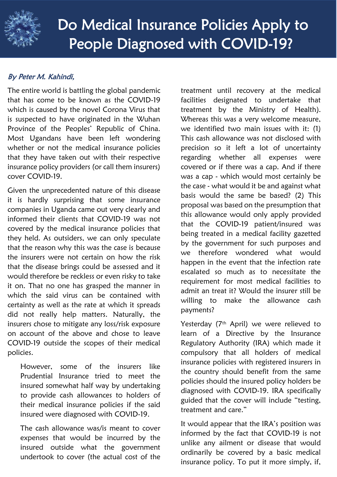

## By Peter M. Kahindi,

The entire world is battling the global pandemic that has come to be known as the COVID-19 which is caused by the novel Corona Virus that is suspected to have originated in the Wuhan Province of the Peoples' Republic of China. Most Ugandans have been left wondering whether or not the medical insurance policies that they have taken out with their respective insurance policy providers (or call them insurers) cover COVID-19.

Given the unprecedented nature of this disease it is hardly surprising that some insurance companies in Uganda came out very clearly and informed their clients that COVID-19 was not covered by the medical insurance policies that they held. As outsiders, we can only speculate that the reason why this was the case is because the insurers were not certain on how the risk that the disease brings could be assessed and it would therefore be reckless or even risky to take it on. That no one has grasped the manner in which the said virus can be contained with certainty as well as the rate at which it spreads did not really help matters. Naturally, the insurers chose to mitigate any loss/risk exposure on account of the above and chose to leave COVID-19 outside the scopes of their medical policies.

However, some of the insurers like Prudential Insurance tried to meet the insured somewhat half way by undertaking to provide cash allowances to holders of their medical insurance policies if the said insured were diagnosed with COVID-19.

The cash allowance was/is meant to cover expenses that would be incurred by the insured outside what the government undertook to cover (the actual cost of the

treatment until recovery at the medical facilities designated to undertake that treatment by the Ministry of Health). Whereas this was a very welcome measure, we identified two main issues with it: (1) This cash allowance was not disclosed with precision so it left a lot of uncertainty regarding whether all expenses were covered or if there was a cap. And if there was a cap - which would most certainly be the case - what would it be and against what basis would the same be based? (2) This proposal was based on the presumption that this allowance would only apply provided that the COVID-19 patient/insured was being treated in a medical facility gazetted by the government for such purposes and we therefore wondered what would happen in the event that the infection rate escalated so much as to necessitate the requirement for most medical facilities to admit an treat it? Would the insurer still be willing to make the allowance cash payments?

Yesterday (7<sup>th</sup> April) we were relieved to learn of a Directive by the Insurance Regulatory Authority (IRA) which made it compulsory that all holders of medical insurance policies with registered insurers in the country should benefit from the same policies should the insured policy holders be diagnosed with COVID-19. IRA specifically guided that the cover will include "testing, treatment and care."

It would appear that the IRA's position was informed by the fact that COVID-19 is not unlike any ailment or disease that would ordinarily be covered by a basic medical insurance policy. To put it more simply, if,